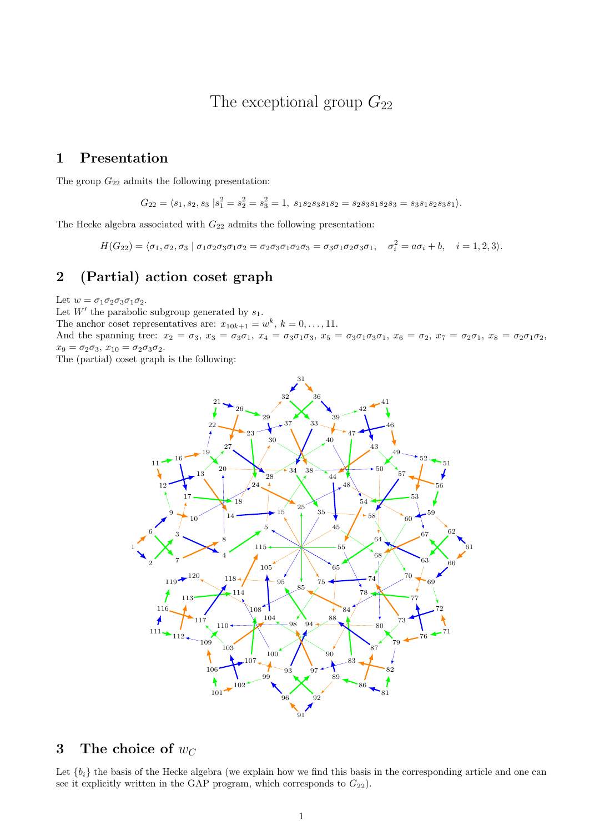# The exceptional group  $G_{22}$

#### 1 Presentation

The group  $G_{22}$  admits the following presentation:

$$
G_{22} = \langle s_1, s_2, s_3 | s_1^2 = s_2^2 = s_3^2 = 1, \ s_1 s_2 s_3 s_1 s_2 = s_2 s_3 s_1 s_2 s_3 = s_3 s_1 s_2 s_3 s_1 \rangle.
$$

The Hecke algebra associated with  ${\cal G}_{22}$  admits the following presentation:

 $H(G_{22}) = \langle \sigma_1, \sigma_2, \sigma_3 \mid \sigma_1 \sigma_2 \sigma_3 \sigma_1 \sigma_2 = \sigma_2 \sigma_3 \sigma_1 \sigma_2 \sigma_3 = \sigma_3 \sigma_1 \sigma_2 \sigma_3 \sigma_1, \quad \sigma_i^2 = a \sigma_i + b, \quad i = 1, 2, 3 \rangle.$ 

### 2 (Partial) action coset graph

Let  $w = \sigma_1 \sigma_2 \sigma_3 \sigma_1 \sigma_2$ .

Let  $W'$  the parabolic subgroup generated by  $s_1$ .

The anchor coset representatives are:  $x_{10k+1} = w^k$ ,  $k = 0, ..., 11$ .

And the spanning tree:  $x_2 = \sigma_3$ ,  $x_3 = \sigma_3\sigma_1$ ,  $x_4 = \sigma_3\sigma_1\sigma_3$ ,  $x_5 = \sigma_3\sigma_1\sigma_3\sigma_1$ ,  $x_6 = \sigma_2$ ,  $x_7 = \sigma_2\sigma_1$ ,  $x_8 = \sigma_2\sigma_1\sigma_2$ ,  $x_9 = \sigma_2 \sigma_3, x_{10} = \sigma_2 \sigma_3 \sigma_2.$ 

The (partial) coset graph is the following:



#### 3 The choice of  $w_C$

Let  ${b_i}$  the basis of the Hecke algebra (we explain how we find this basis in the corresponding article and one can see it explicitly written in the GAP program, which corresponds to  $G_{22}$ ).